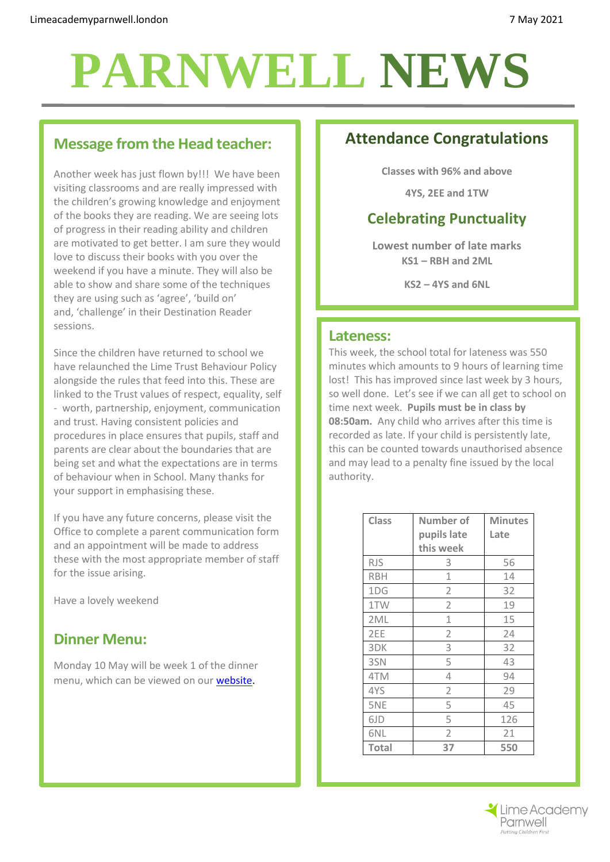# **PARNWELL NEWS**

### **Message from the Head teacher:**

Another week has just flown by!!! We have been visiting classrooms and are really impressed with the children's growing knowledge and enjoyment of the books they are reading. We are seeing lots of progress in their reading ability and children are motivated to get better. I am sure they would love to discuss their books with you over the weekend if you have a minute. They will also be able to show and share some of the techniques they are using such as 'agree', 'build on' and, 'challenge' in their Destination Reader sessions.

Since the children have returned to school we have relaunched the Lime Trust Behaviour Policy alongside the rules that feed into this. These are linked to the Trust values of respect, equality, self - worth, partnership, enjoyment, communication and trust. Having consistent policies and procedures in place ensures that pupils, staff and parents are clear about the boundaries that are being set and what the expectations are in terms of behaviour when in School. Many thanks for your support in emphasising these.

If you have any future concerns, please visit the Office to complete a parent communication form and an appointment will be made to address these with the most appropriate member of staff for the issue arising.

Have a lovely weekend

# **Dinner Menu:**

Monday 10 May will be week 1 of the dinner menu, which can be viewed on our [website.](http://limeacademyparnwell.org/media/3932/dinner-menu-2020-09-18.pdf)

# **Attendance Congratulations**

**Classes with 96% and above**

**4YS, 2EE and 1TW**

# **Celebrating Punctuality**

**Lowest number of late marks KS1 – RBH and 2ML**

**KS2 – 4YS and 6NL**

#### **Lateness:**

This week, the school total for lateness was 550 minutes which amounts to 9 hours of learning time lost! This has improved since last week by 3 hours, so well done. Let's see if we can all get to school on time next week. **Pupils must be in class by 08:50am.** Any child who arrives after this time is recorded as late. If your child is persistently late, this can be counted towards unauthorised absence and may lead to a penalty fine issued by the local authority.

| <b>Class</b> | Number of      | <b>Minutes</b> |
|--------------|----------------|----------------|
|              | pupils late    | Late           |
|              | this week      |                |
| <b>RJS</b>   | 3              | 56             |
| <b>RBH</b>   | 1              | 14             |
| 1DG          | 2              | 32             |
| 1TW          | $\overline{2}$ | 19             |
| 2ML          | 1              | 15             |
| 2EE          | $\overline{2}$ | 24             |
| 3DK          | 3              | 32             |
| 3SN          | 5              | 43             |
| 4TM          | 4              | 94             |
| 4YS          | $\overline{2}$ | 29             |
| 5NE          | 5              | 45             |
| 6JD          | 5              | 126            |
| 6NL          | $\overline{2}$ | 21             |
| Total        | 37             | 550            |